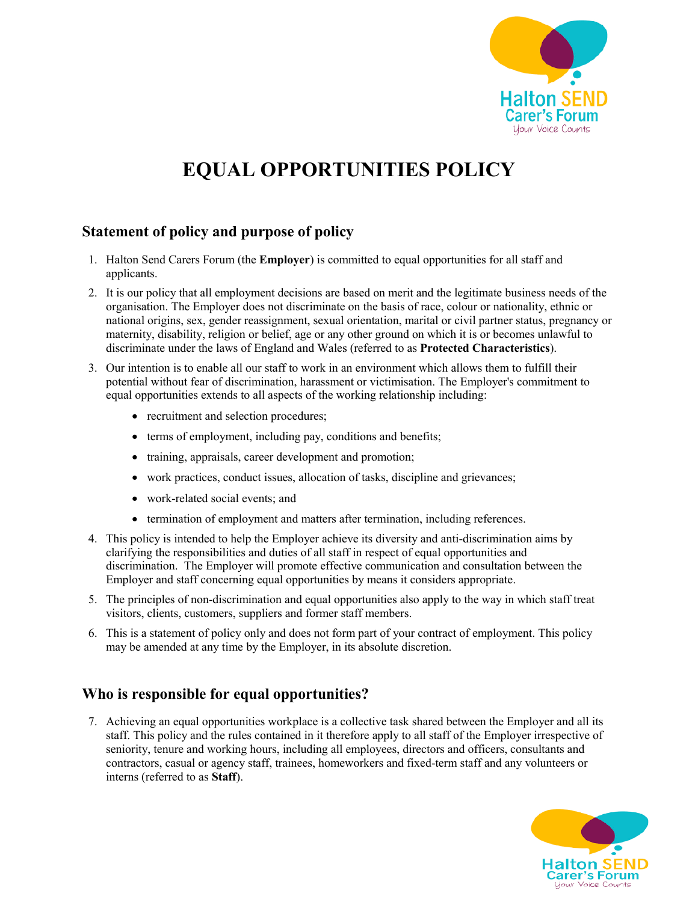

# **EQUAL OPPORTUNITIES POLICY**

## **Statement of policy and purpose of policy**

- 1. Halton Send Carers Forum (the **Employer**) is committed to equal opportunities for all staff and applicants.
- 2. It is our policy that all employment decisions are based on merit and the legitimate business needs of the organisation. The Employer does not discriminate on the basis of race, colour or nationality, ethnic or national origins, sex, gender reassignment, sexual orientation, marital or civil partner status, pregnancy or maternity, disability, religion or belief, age or any other ground on which it is or becomes unlawful to discriminate under the laws of England and Wales (referred to as **Protected Characteristics**).
- 3. Our intention is to enable all our staff to work in an environment which allows them to fulfill their potential without fear of discrimination, harassment or victimisation. The Employer's commitment to equal opportunities extends to all aspects of the working relationship including:
	- recruitment and selection procedures;
	- terms of employment, including pay, conditions and benefits;
	- training, appraisals, career development and promotion;
	- work practices, conduct issues, allocation of tasks, discipline and grievances;
	- work-related social events; and
	- termination of employment and matters after termination, including references.
- 4. This policy is intended to help the Employer achieve its diversity and anti-discrimination aims by clarifying the responsibilities and duties of all staff in respect of equal opportunities and discrimination. The Employer will promote effective communication and consultation between the Employer and staff concerning equal opportunities by means it considers appropriate.
- 5. The principles of non-discrimination and equal opportunities also apply to the way in which staff treat visitors, clients, customers, suppliers and former staff members.
- 6. This is a statement of policy only and does not form part of your contract of employment. This policy may be amended at any time by the Employer, in its absolute discretion.

### **Who is responsible for equal opportunities?**

7. Achieving an equal opportunities workplace is a collective task shared between the Employer and all its staff. This policy and the rules contained in it therefore apply to all staff of the Employer irrespective of seniority, tenure and working hours, including all employees, directors and officers, consultants and contractors, casual or agency staff, trainees, homeworkers and fixed-term staff and any volunteers or interns (referred to as **Staff**).

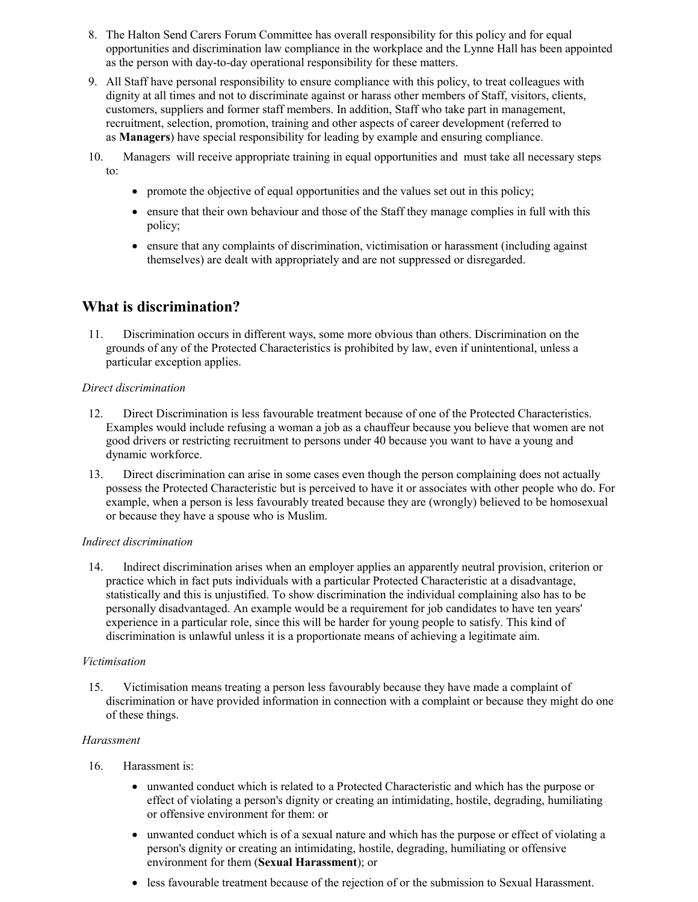- 8. The Halton Send Carers Forum Committee has overall responsibility for this policy and for equal opportunities and discrimination law compliance in the workplace and the Lynne Hall has been appointed as the person with day-to-day operational responsibility for these matters.
- 9. All Staff have personal responsibility to ensure compliance with this policy, to treat colleagues with dignity at all times and not to discriminate against or harass other members of Staff, visitors, clients, customers, suppliers and former staff members. In addition, Staff who take part in management, recruitment, selection, promotion, training and other aspects of career development (referred to as **Managers**) have special responsibility for leading by example and ensuring compliance.
- 10. Managers will receive appropriate training in equal opportunities and must take all necessary steps to:
	- promote the objective of equal opportunities and the values set out in this policy;
	- ensure that their own behaviour and those of the Staff they manage complies in full with this policy;
	- ensure that any complaints of discrimination, victimisation or harassment (including against themselves) are dealt with appropriately and are not suppressed or disregarded.

### **What is discrimination?**

11. Discrimination occurs in different ways, some more obvious than others. Discrimination on the grounds of any of the Protected Characteristics is prohibited by law, even if unintentional, unless a particular exception applies.

### *Direct discrimination*

- 12. Direct Discrimination is less favourable treatment because of one of the Protected Characteristics. Examples would include refusing a woman a job as a chauffeur because you believe that women are not good drivers or restricting recruitment to persons under 40 because you want to have a young and dynamic workforce.
- 13. Direct discrimination can arise in some cases even though the person complaining does not actually possess the Protected Characteristic but is perceived to have it or associates with other people who do. For example, when a person is less favourably treated because they are (wrongly) believed to be homosexual or because they have a spouse who is Muslim.

### *Indirect discrimination*

14. Indirect discrimination arises when an employer applies an apparently neutral provision, criterion or practice which in fact puts individuals with a particular Protected Characteristic at a disadvantage, statistically and this is unjustified. To show discrimination the individual complaining also has to be personally disadvantaged. An example would be a requirement for job candidates to have ten years' experience in a particular role, since this will be harder for young people to satisfy. This kind of discrimination is unlawful unless it is a proportionate means of achieving a legitimate aim.

### *Victimisation*

15. Victimisation means treating a person less favourably because they have made a complaint of discrimination or have provided information in connection with a complaint or because they might do one of these things.

### *Harassment*

- 16. Harassment is:
	- unwanted conduct which is related to a Protected Characteristic and which has the purpose or effect of violating a person's dignity or creating an intimidating, hostile, degrading, humiliating or offensive environment for them: or
	- unwanted conduct which is of a sexual nature and which has the purpose or effect of violating a person's dignity or creating an intimidating, hostile, degrading, humiliating or offensive environment for them (**Sexual Harassment**); or
	- less favourable treatment because of the rejection of or the submission to Sexual Harassment.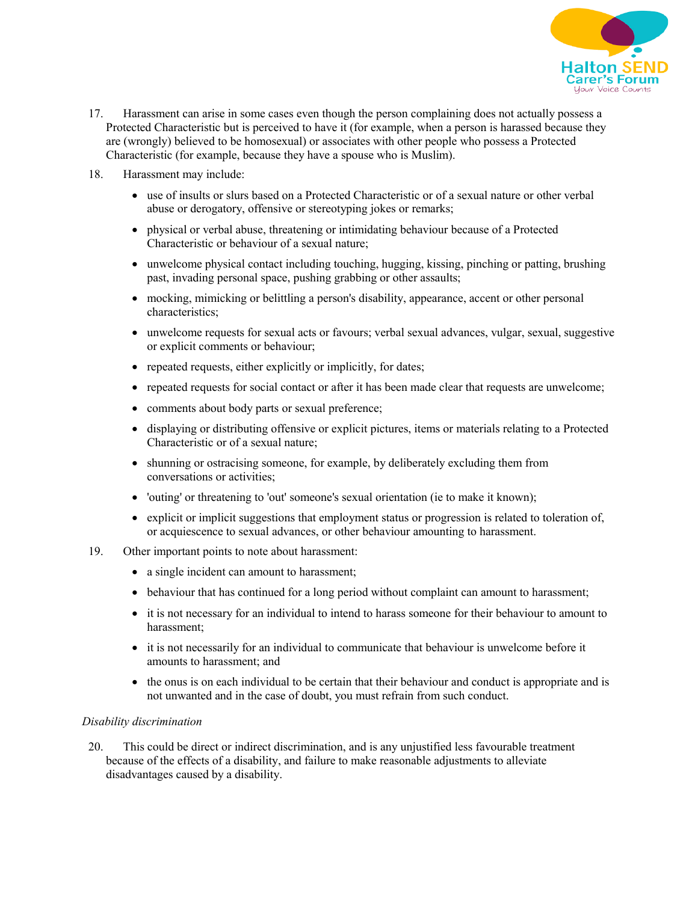

- 17. Harassment can arise in some cases even though the person complaining does not actually possess a Protected Characteristic but is perceived to have it (for example, when a person is harassed because they are (wrongly) believed to be homosexual) or associates with other people who possess a Protected Characteristic (for example, because they have a spouse who is Muslim).
- 18. Harassment may include:
	- use of insults or slurs based on a Protected Characteristic or of a sexual nature or other verbal abuse or derogatory, offensive or stereotyping jokes or remarks;
	- physical or verbal abuse, threatening or intimidating behaviour because of a Protected Characteristic or behaviour of a sexual nature;
	- unwelcome physical contact including touching, hugging, kissing, pinching or patting, brushing past, invading personal space, pushing grabbing or other assaults;
	- mocking, mimicking or belittling a person's disability, appearance, accent or other personal characteristics;
	- unwelcome requests for sexual acts or favours; verbal sexual advances, vulgar, sexual, suggestive or explicit comments or behaviour;
	- repeated requests, either explicitly or implicitly, for dates;
	- repeated requests for social contact or after it has been made clear that requests are unwelcome;
	- comments about body parts or sexual preference;
	- displaying or distributing offensive or explicit pictures, items or materials relating to a Protected Characteristic or of a sexual nature;
	- shunning or ostracising someone, for example, by deliberately excluding them from conversations or activities;
	- 'outing' or threatening to 'out' someone's sexual orientation (ie to make it known);
	- explicit or implicit suggestions that employment status or progression is related to toleration of, or acquiescence to sexual advances, or other behaviour amounting to harassment.
- 19. Other important points to note about harassment:
	- a single incident can amount to harassment;
	- behaviour that has continued for a long period without complaint can amount to harassment;
	- it is not necessary for an individual to intend to harass someone for their behaviour to amount to harassment;
	- it is not necessarily for an individual to communicate that behaviour is unwelcome before it amounts to harassment; and
	- the onus is on each individual to be certain that their behaviour and conduct is appropriate and is not unwanted and in the case of doubt, you must refrain from such conduct.

#### *Disability discrimination*

20. This could be direct or indirect discrimination, and is any unjustified less favourable treatment because of the effects of a disability, and failure to make reasonable adjustments to alleviate disadvantages caused by a disability.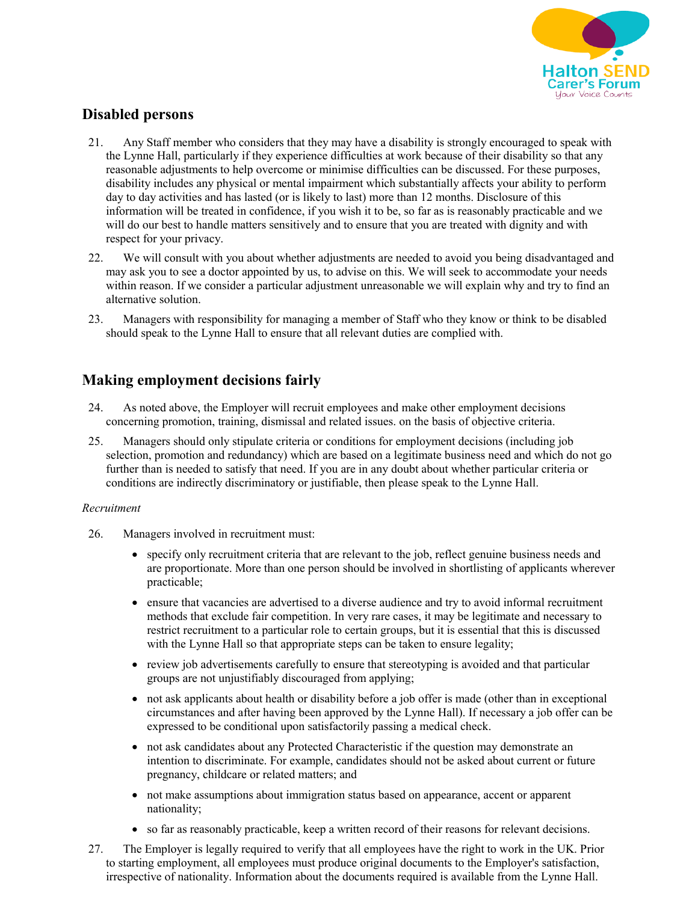

## **Disabled persons**

- 21. Any Staff member who considers that they may have a disability is strongly encouraged to speak with the Lynne Hall, particularly if they experience difficulties at work because of their disability so that any reasonable adjustments to help overcome or minimise difficulties can be discussed. For these purposes, disability includes any physical or mental impairment which substantially affects your ability to perform day to day activities and has lasted (or is likely to last) more than 12 months. Disclosure of this information will be treated in confidence, if you wish it to be, so far as is reasonably practicable and we will do our best to handle matters sensitively and to ensure that you are treated with dignity and with respect for your privacy.
- 22. We will consult with you about whether adjustments are needed to avoid you being disadvantaged and may ask you to see a doctor appointed by us, to advise on this. We will seek to accommodate your needs within reason. If we consider a particular adjustment unreasonable we will explain why and try to find an alternative solution.
- 23. Managers with responsibility for managing a member of Staff who they know or think to be disabled should speak to the Lynne Hall to ensure that all relevant duties are complied with.

# **Making employment decisions fairly**

- 24. As noted above, the Employer will recruit employees and make other employment decisions concerning promotion, training, dismissal and related issues. on the basis of objective criteria.
- 25. Managers should only stipulate criteria or conditions for employment decisions (including job selection, promotion and redundancy) which are based on a legitimate business need and which do not go further than is needed to satisfy that need. If you are in any doubt about whether particular criteria or conditions are indirectly discriminatory or justifiable, then please speak to the Lynne Hall.

### *Recruitment*

- 26. Managers involved in recruitment must:
	- specify only recruitment criteria that are relevant to the job, reflect genuine business needs and are proportionate. More than one person should be involved in shortlisting of applicants wherever practicable;
	- ensure that vacancies are advertised to a diverse audience and try to avoid informal recruitment methods that exclude fair competition. In very rare cases, it may be legitimate and necessary to restrict recruitment to a particular role to certain groups, but it is essential that this is discussed with the Lynne Hall so that appropriate steps can be taken to ensure legality;
	- review job advertisements carefully to ensure that stereotyping is avoided and that particular groups are not unjustifiably discouraged from applying;
	- not ask applicants about health or disability before a job offer is made (other than in exceptional circumstances and after having been approved by the Lynne Hall). If necessary a job offer can be expressed to be conditional upon satisfactorily passing a medical check.
	- not ask candidates about any Protected Characteristic if the question may demonstrate an intention to discriminate. For example, candidates should not be asked about current or future pregnancy, childcare or related matters; and
	- not make assumptions about immigration status based on appearance, accent or apparent nationality;
	- so far as reasonably practicable, keep a written record of their reasons for relevant decisions.
- 27. The Employer is legally required to verify that all employees have the right to work in the UK. Prior to starting employment, all employees must produce original documents to the Employer's satisfaction, irrespective of nationality. Information about the documents required is available from the Lynne Hall.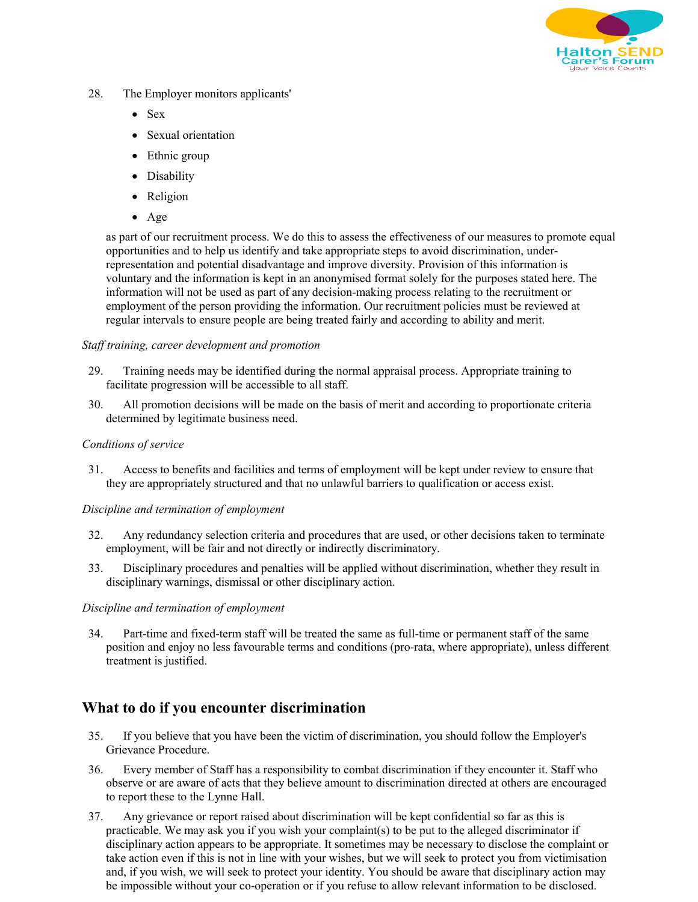

- 28. The Employer monitors applicants'
	- Sex
	- Sexual orientation
	- Ethnic group
	- Disability
	- Religion
	- Age

as part of our recruitment process. We do this to assess the effectiveness of our measures to promote equal opportunities and to help us identify and take appropriate steps to avoid discrimination, underrepresentation and potential disadvantage and improve diversity. Provision of this information is voluntary and the information is kept in an anonymised format solely for the purposes stated here. The information will not be used as part of any decision-making process relating to the recruitment or employment of the person providing the information. Our recruitment policies must be reviewed at regular intervals to ensure people are being treated fairly and according to ability and merit.

#### *Staff training, career development and promotion*

- 29. Training needs may be identified during the normal appraisal process. Appropriate training to facilitate progression will be accessible to all staff.
- 30. All promotion decisions will be made on the basis of merit and according to proportionate criteria determined by legitimate business need.

#### *Conditions of service*

31. Access to benefits and facilities and terms of employment will be kept under review to ensure that they are appropriately structured and that no unlawful barriers to qualification or access exist.

### *Discipline and termination of employment*

- 32. Any redundancy selection criteria and procedures that are used, or other decisions taken to terminate employment, will be fair and not directly or indirectly discriminatory.
- 33. Disciplinary procedures and penalties will be applied without discrimination, whether they result in disciplinary warnings, dismissal or other disciplinary action.

### *Discipline and termination of employment*

34. Part-time and fixed-term staff will be treated the same as full-time or permanent staff of the same position and enjoy no less favourable terms and conditions (pro-rata, where appropriate), unless different treatment is justified.

### **What to do if you encounter discrimination**

- 35. If you believe that you have been the victim of discrimination, you should follow the Employer's Grievance Procedure.
- 36. Every member of Staff has a responsibility to combat discrimination if they encounter it. Staff who observe or are aware of acts that they believe amount to discrimination directed at others are encouraged to report these to the Lynne Hall.
- 37. Any grievance or report raised about discrimination will be kept confidential so far as this is practicable. We may ask you if you wish your complaint(s) to be put to the alleged discriminator if disciplinary action appears to be appropriate. It sometimes may be necessary to disclose the complaint or take action even if this is not in line with your wishes, but we will seek to protect you from victimisation and, if you wish, we will seek to protect your identity. You should be aware that disciplinary action may be impossible without your co-operation or if you refuse to allow relevant information to be disclosed.